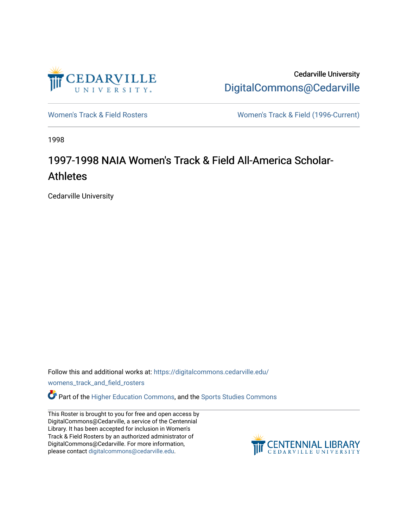

Cedarville University [DigitalCommons@Cedarville](https://digitalcommons.cedarville.edu/) 

[Women's Track & Field Rosters](https://digitalcommons.cedarville.edu/womens_track_and_field_rosters) Women's Track & Field (1996-Current)

1998

## 1997-1998 NAIA Women's Track & Field All-America Scholar-**Athletes**

Cedarville University

Follow this and additional works at: [https://digitalcommons.cedarville.edu/](https://digitalcommons.cedarville.edu/womens_track_and_field_rosters?utm_source=digitalcommons.cedarville.edu%2Fwomens_track_and_field_rosters%2F22&utm_medium=PDF&utm_campaign=PDFCoverPages)

[womens\\_track\\_and\\_field\\_rosters](https://digitalcommons.cedarville.edu/womens_track_and_field_rosters?utm_source=digitalcommons.cedarville.edu%2Fwomens_track_and_field_rosters%2F22&utm_medium=PDF&utm_campaign=PDFCoverPages) 

**C** Part of the [Higher Education Commons,](http://network.bepress.com/hgg/discipline/1245?utm_source=digitalcommons.cedarville.edu%2Fwomens_track_and_field_rosters%2F22&utm_medium=PDF&utm_campaign=PDFCoverPages) and the Sports Studies Commons

This Roster is brought to you for free and open access by DigitalCommons@Cedarville, a service of the Centennial Library. It has been accepted for inclusion in Women's Track & Field Rosters by an authorized administrator of DigitalCommons@Cedarville. For more information, please contact [digitalcommons@cedarville.edu](mailto:digitalcommons@cedarville.edu).

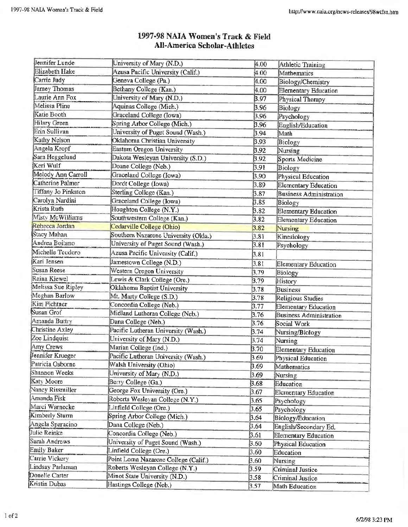| Jennifer Lunde      | University of Mary (N.D.)            | 4.00         | Athletic Training                 |
|---------------------|--------------------------------------|--------------|-----------------------------------|
| Elizabeth Hake      | Azusa Pacific University (Calif.)    | 4.00         | Mathematics                       |
| Carrie Judy         | Geneva College (Pa.)                 | 4.00         | Biology/Chemistry                 |
| Jamey Thomas        | Bethany College (Kan.)               | 4.00         | <b>Elementary Education</b>       |
| Laurie Ann Fox      | University of Mary (N.D.)            | 3.97         | Physical Therapy                  |
| Melissa Pline       | Aquinas College (Mich.)              | 3.96         | <b>Biology</b>                    |
| Katie Booth         | Graceland College (Iowa)             | 3.96         | Psychology                        |
| Hilary Green        | Spring Arbor College (Mich.)         | 3.96         | English/Education                 |
| Erin Sullivan       | University of Puget Sound (Wash.)    | 3.94         | Math                              |
| Kathy Nelson        | Oklahoma Christian University        | 3.93         | Biology                           |
| Angela Kropf        | Eastern Oregon University            | 3.92         | Nursing                           |
| Sara Heggelund      | Dakota Wesleyan University (S.D.)    | 3.92         | Sports Medicine                   |
| Keri Wulf           | Doane College (Neb.)                 | 3.91         | Biology                           |
| Melody Ann Carroll  | Graceland College (Iowa)             | 3.90         | Physical Education                |
| Catherine Palmer    | Dordt College (Iowa)                 | 3.89         | <b>Elementary Education</b>       |
| Tiffany Jo Pinkston | Sterling College (Kan.)              | 3.87         | <b>Business Administration</b>    |
| Carolyn Nardini     | Graceland College (Iowa)             | 3.85         | Biology                           |
| Krista Ruth         | Houghton College (N.Y.)              | 3.82         | <b>Elementary Education</b>       |
| Misty McWilliams    | Southwestern College (Kan.)          | 3.82         | <b>Elementary Education</b>       |
| Rebecca Jordan      | Cedarville College (Ohio)            | 3.82         | <b>Nursing</b>                    |
| Stacy Mahan         | Southern Nazarene University (Okla.) | 3.81         | Kinesiology                       |
| Andrea Boitano      | University of Puget Sound (Wash.)    | 3.81         | Psychology                        |
| Michelle Teodoro    | Azusa Pacific University (Calif.)    | 3.81         |                                   |
| Kari Jensen         | Jamestown College (N.D.)             | 3.81         |                                   |
| <b>Susan Reese</b>  | Western Oregon University            | 3.79         | Elementary Education              |
| Raina Kiewel        | Lewis & Clark College (Ore.)         | 3.79         | Biology                           |
| Melissa Sue Ripley  | Okłahoma Baptist University          | 3.78         | History<br><b>Business</b>        |
| Meghan Barlow       | Mt. Marty College (S.D.)             | 3.78         | Religious Studies                 |
| Kim Fichtner        | Concordia College (Neb.)             | 3.77         | <b>Elementary Education</b>       |
| Susan Grof          | Midland Lutheran College (Neb.)      | 3.76         | <b>Business Administration</b>    |
| Amanda Buttry       | Dana College (Neb.)                  | 3.76         | Social Work                       |
| Christine Axley     | Pacific Lutheran University (Wash.)  | 3.74         | Nursing/Biology                   |
| Zoe Lindquist       | University of Mary (N.D.)            | 3.74         | Nursing                           |
| Amy Crews           | Marian College (Ind.)                | 3.70         |                                   |
| Jennifer Krueger    | Pacific Lutheran University (Wash.)  | 3.69         | <b>Elementary Education</b>       |
| Patricia Osborne    | Walsh University (Ohio)              | 3.69         | Physical Education<br>Mathematics |
| Shannon Weeks       | University of Mary (N.D.)            | 3.69         | Nursing                           |
| Katy Moore          | Berry College (Ga.)                  | 3.68         | Education                         |
| Nancy Rissmiller    | George Fox University (Ore.)         | 3.67         |                                   |
| Amanda Fisk         | Roberts Wesleyan College (N.Y.)      | 3.65         | Elementary Education              |
| Marci Warnecke      | Linfield College (Ore.)              | 3.65         | Psychology                        |
| Kimberly Sturm      | Spring Arbor College (Mich.)         | 3.64         | Psychology                        |
| Angela Sparacino    | Dana College (Neb.)                  | 3.64         | <b>Biology/Education</b>          |
| Julie Reinke        | Concordia College (Neb.)             | 3.61         | English/Secondary Ed.             |
| Sarah Andrews       | University of Puget Sound (Wash.)    | 3.60         | Elementary Education              |
| Emily Baker         | Linfield College (Ore.)              |              | Physical Education                |
| Carrie Vickery      | Point Loma Nazarene College (Calif.) | 3,60<br>3.60 | Education                         |
| Lindsay Parlaman    | Roberts Wesleyan College (N.Y.)      |              | Nursing                           |
| Donelle Carter      | Minot State University (N.D.)        | 3.59         | Criminal Justice                  |
| Kristin Dubas       | Hastings College (Neb.)              | 3.58         | Criminal Justice                  |
|                     |                                      | 3.57         | Math Education                    |

## 1997-98 NAIA Women's Track & Field **All-America Scholar-Athletes**